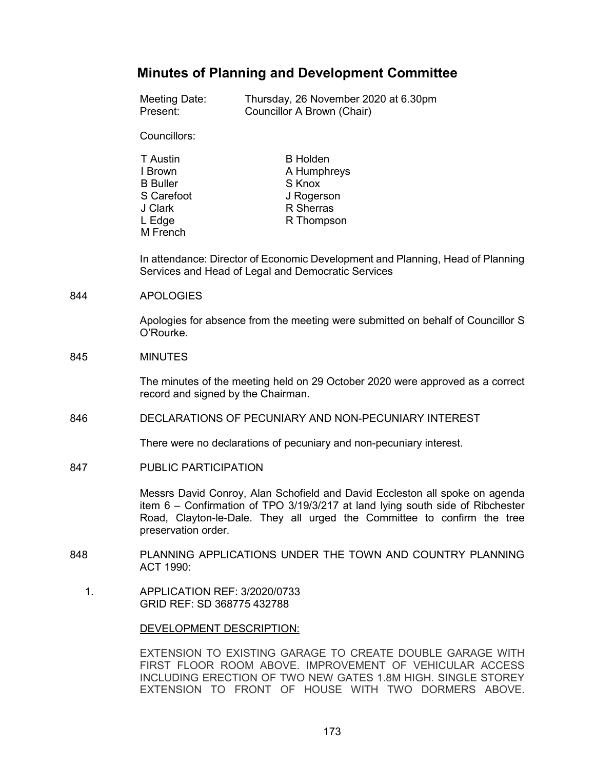# **Minutes of Planning and Development Committee**

| Meeting Date:                 | Thursday, 26 November 2020 at 6.30pm |
|-------------------------------|--------------------------------------|
| Present:                      | Councillor A Brown (Chair)           |
| Councillors:                  |                                      |
| T Austin                      | <b>B</b> Holden                      |
| I Brown                       | A Humphreys                          |
| <b>B</b> Buller               | S Knox                               |
| S Carefoot                    | J Rogerson                           |
| J Clark<br>L Edge<br>M French | R Sherras<br>R Thompson              |

In attendance: Director of Economic Development and Planning, Head of Planning Services and Head of Legal and Democratic Services

#### 844 APOLOGIES

Apologies for absence from the meeting were submitted on behalf of Councillor S O'Rourke.

#### 845 MINUTES

The minutes of the meeting held on 29 October 2020 were approved as a correct record and signed by the Chairman.

## 846 DECLARATIONS OF PECUNIARY AND NON-PECUNIARY INTEREST

There were no declarations of pecuniary and non-pecuniary interest.

847 PUBLIC PARTICIPATION

Messrs David Conroy, Alan Schofield and David Eccleston all spoke on agenda item 6 – Confirmation of TPO 3/19/3/217 at land lying south side of Ribchester Road, Clayton-le-Dale. They all urged the Committee to confirm the tree preservation order.

- 848 PLANNING APPLICATIONS UNDER THE TOWN AND COUNTRY PLANNING ACT 1990:
	- 1. APPLICATION REF: 3/2020/0733 GRID REF: SD 368775 432788

#### DEVELOPMENT DESCRIPTION:

EXTENSION TO EXISTING GARAGE TO CREATE DOUBLE GARAGE WITH FIRST FLOOR ROOM ABOVE. IMPROVEMENT OF VEHICULAR ACCESS INCLUDING ERECTION OF TWO NEW GATES 1.8M HIGH. SINGLE STOREY EXTENSION TO FRONT OF HOUSE WITH TWO DORMERS ABOVE.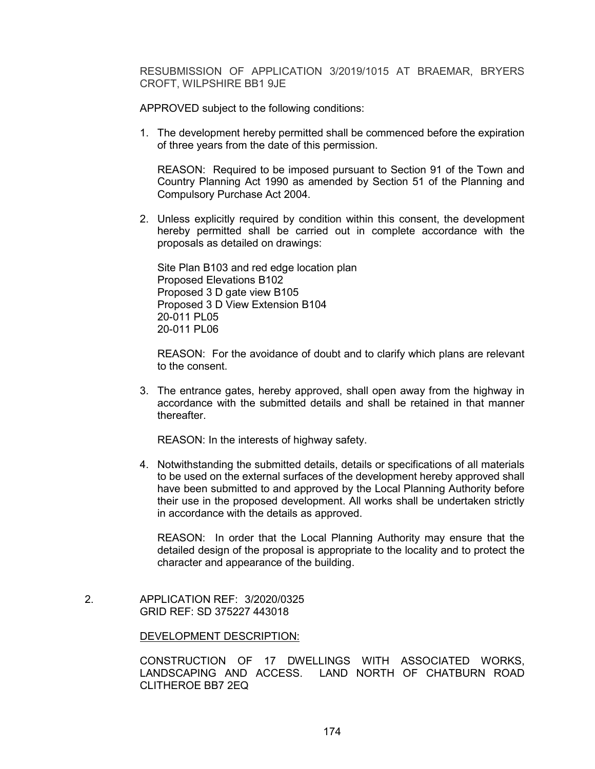RESUBMISSION OF APPLICATION 3/2019/1015 AT BRAEMAR, BRYERS CROFT, WILPSHIRE BB1 9JE

APPROVED subject to the following conditions:

1. The development hereby permitted shall be commenced before the expiration of three years from the date of this permission.

REASON: Required to be imposed pursuant to Section 91 of the Town and Country Planning Act 1990 as amended by Section 51 of the Planning and Compulsory Purchase Act 2004.

2. Unless explicitly required by condition within this consent, the development hereby permitted shall be carried out in complete accordance with the proposals as detailed on drawings:

Site Plan B103 and red edge location plan Proposed Elevations B102 Proposed 3 D gate view B105 Proposed 3 D View Extension B104 20-011 PL05 20-011 PL06

REASON: For the avoidance of doubt and to clarify which plans are relevant to the consent.

3. The entrance gates, hereby approved, shall open away from the highway in accordance with the submitted details and shall be retained in that manner thereafter.

REASON: In the interests of highway safety.

4. Notwithstanding the submitted details, details or specifications of all materials to be used on the external surfaces of the development hereby approved shall have been submitted to and approved by the Local Planning Authority before their use in the proposed development. All works shall be undertaken strictly in accordance with the details as approved.

REASON: In order that the Local Planning Authority may ensure that the detailed design of the proposal is appropriate to the locality and to protect the character and appearance of the building.

 2. APPLICATION REF: 3/2020/0325 GRID REF: SD 375227 443018

#### DEVELOPMENT DESCRIPTION:

CONSTRUCTION OF 17 DWELLINGS WITH ASSOCIATED WORKS, LANDSCAPING AND ACCESS. LAND NORTH OF CHATBURN ROAD CLITHEROE BB7 2EQ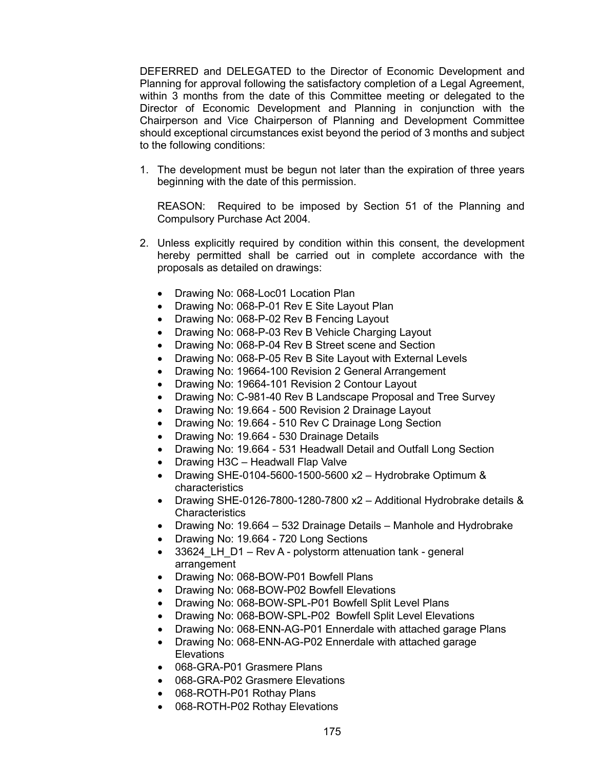DEFERRED and DELEGATED to the Director of Economic Development and Planning for approval following the satisfactory completion of a Legal Agreement, within 3 months from the date of this Committee meeting or delegated to the Director of Economic Development and Planning in conjunction with the Chairperson and Vice Chairperson of Planning and Development Committee should exceptional circumstances exist beyond the period of 3 months and subject to the following conditions:

1. The development must be begun not later than the expiration of three years beginning with the date of this permission.

REASON: Required to be imposed by Section 51 of the Planning and Compulsory Purchase Act 2004.

- 2. Unless explicitly required by condition within this consent, the development hereby permitted shall be carried out in complete accordance with the proposals as detailed on drawings:
	- Drawing No: 068-Loc01 Location Plan
	- Drawing No: 068-P-01 Rev E Site Layout Plan
	- Drawing No: 068-P-02 Rev B Fencing Layout
	- Drawing No: 068-P-03 Rev B Vehicle Charging Layout
	- Drawing No: 068-P-04 Rev B Street scene and Section
	- Drawing No: 068-P-05 Rev B Site Layout with External Levels
	- Drawing No: 19664-100 Revision 2 General Arrangement
	- Drawing No: 19664-101 Revision 2 Contour Layout
	- Drawing No: C-981-40 Rev B Landscape Proposal and Tree Survey
	- Drawing No: 19.664 500 Revision 2 Drainage Layout
	- Drawing No: 19.664 510 Rev C Drainage Long Section
	- Drawing No: 19.664 530 Drainage Details
	- Drawing No: 19.664 531 Headwall Detail and Outfall Long Section
	- Drawing H3C Headwall Flap Valve
	- Drawing SHE-0104-5600-1500-5600 x2 Hydrobrake Optimum & characteristics
	- Drawing SHE-0126-7800-1280-7800 x2 Additional Hydrobrake details & **Characteristics**
	- Drawing No: 19.664 532 Drainage Details Manhole and Hydrobrake
	- Drawing No: 19.664 720 Long Sections
	- 33624 LH D1 Rev A polystorm attenuation tank general arrangement
	- Drawing No: 068-BOW-P01 Bowfell Plans
	- Drawing No: 068-BOW-P02 Bowfell Elevations
	- Drawing No: 068-BOW-SPL-P01 Bowfell Split Level Plans
	- Drawing No: 068-BOW-SPL-P02 Bowfell Split Level Elevations
	- Drawing No: 068-ENN-AG-P01 Ennerdale with attached garage Plans
	- Drawing No: 068-ENN-AG-P02 Ennerdale with attached garage Elevations
	- 068-GRA-P01 Grasmere Plans
	- 068-GRA-P02 Grasmere Elevations
	- 068-ROTH-P01 Rothay Plans
	- 068-ROTH-P02 Rothay Elevations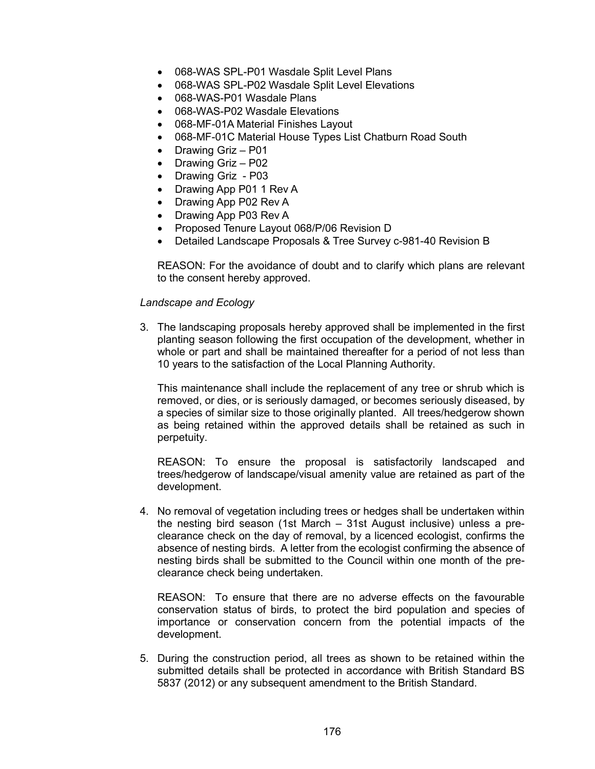- 068-WAS SPL-P01 Wasdale Split Level Plans
- 068-WAS SPL-P02 Wasdale Split Level Elevations
- 068-WAS-P01 Wasdale Plans
- 068-WAS-P02 Wasdale Elevations
- 068-MF-01A Material Finishes Layout
- 068-MF-01C Material House Types List Chatburn Road South
- Drawing Griz P01
- Drawing Griz P02
- Drawing Griz P03
- Drawing App P01 1 Rev A
- Drawing App P02 Rev A
- Drawing App P03 Rev A
- Proposed Tenure Layout 068/P/06 Revision D
- Detailed Landscape Proposals & Tree Survey c-981-40 Revision B

REASON: For the avoidance of doubt and to clarify which plans are relevant to the consent hereby approved.

## *Landscape and Ecology*

3. The landscaping proposals hereby approved shall be implemented in the first planting season following the first occupation of the development, whether in whole or part and shall be maintained thereafter for a period of not less than 10 years to the satisfaction of the Local Planning Authority.

This maintenance shall include the replacement of any tree or shrub which is removed, or dies, or is seriously damaged, or becomes seriously diseased, by a species of similar size to those originally planted. All trees/hedgerow shown as being retained within the approved details shall be retained as such in perpetuity.

REASON: To ensure the proposal is satisfactorily landscaped and trees/hedgerow of landscape/visual amenity value are retained as part of the development.

4. No removal of vegetation including trees or hedges shall be undertaken within the nesting bird season (1st March – 31st August inclusive) unless a preclearance check on the day of removal, by a licenced ecologist, confirms the absence of nesting birds. A letter from the ecologist confirming the absence of nesting birds shall be submitted to the Council within one month of the preclearance check being undertaken.

REASON: To ensure that there are no adverse effects on the favourable conservation status of birds, to protect the bird population and species of importance or conservation concern from the potential impacts of the development.

5. During the construction period, all trees as shown to be retained within the submitted details shall be protected in accordance with British Standard BS 5837 (2012) or any subsequent amendment to the British Standard.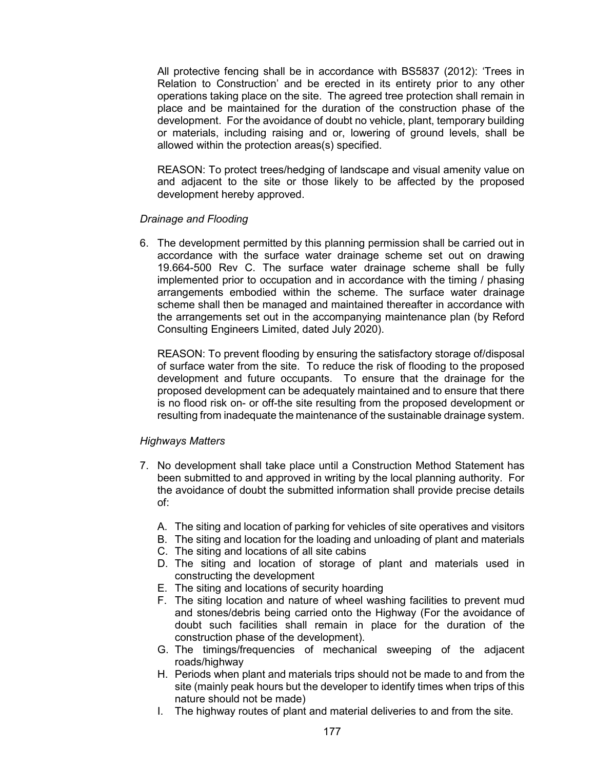All protective fencing shall be in accordance with BS5837 (2012): 'Trees in Relation to Construction' and be erected in its entirety prior to any other operations taking place on the site. The agreed tree protection shall remain in place and be maintained for the duration of the construction phase of the development. For the avoidance of doubt no vehicle, plant, temporary building or materials, including raising and or, lowering of ground levels, shall be allowed within the protection areas(s) specified.

REASON: To protect trees/hedging of landscape and visual amenity value on and adjacent to the site or those likely to be affected by the proposed development hereby approved.

## *Drainage and Flooding*

6. The development permitted by this planning permission shall be carried out in accordance with the surface water drainage scheme set out on drawing 19.664-500 Rev C. The surface water drainage scheme shall be fully implemented prior to occupation and in accordance with the timing / phasing arrangements embodied within the scheme. The surface water drainage scheme shall then be managed and maintained thereafter in accordance with the arrangements set out in the accompanying maintenance plan (by Reford Consulting Engineers Limited, dated July 2020).

REASON: To prevent flooding by ensuring the satisfactory storage of/disposal of surface water from the site. To reduce the risk of flooding to the proposed development and future occupants. To ensure that the drainage for the proposed development can be adequately maintained and to ensure that there is no flood risk on- or off-the site resulting from the proposed development or resulting from inadequate the maintenance of the sustainable drainage system.

## *Highways Matters*

- 7. No development shall take place until a Construction Method Statement has been submitted to and approved in writing by the local planning authority. For the avoidance of doubt the submitted information shall provide precise details of:
	- A. The siting and location of parking for vehicles of site operatives and visitors
	- B. The siting and location for the loading and unloading of plant and materials
	- C. The siting and locations of all site cabins
	- D. The siting and location of storage of plant and materials used in constructing the development
	- E. The siting and locations of security hoarding
	- F. The siting location and nature of wheel washing facilities to prevent mud and stones/debris being carried onto the Highway (For the avoidance of doubt such facilities shall remain in place for the duration of the construction phase of the development).
	- G. The timings/frequencies of mechanical sweeping of the adjacent roads/highway
	- H. Periods when plant and materials trips should not be made to and from the site (mainly peak hours but the developer to identify times when trips of this nature should not be made)
	- I. The highway routes of plant and material deliveries to and from the site.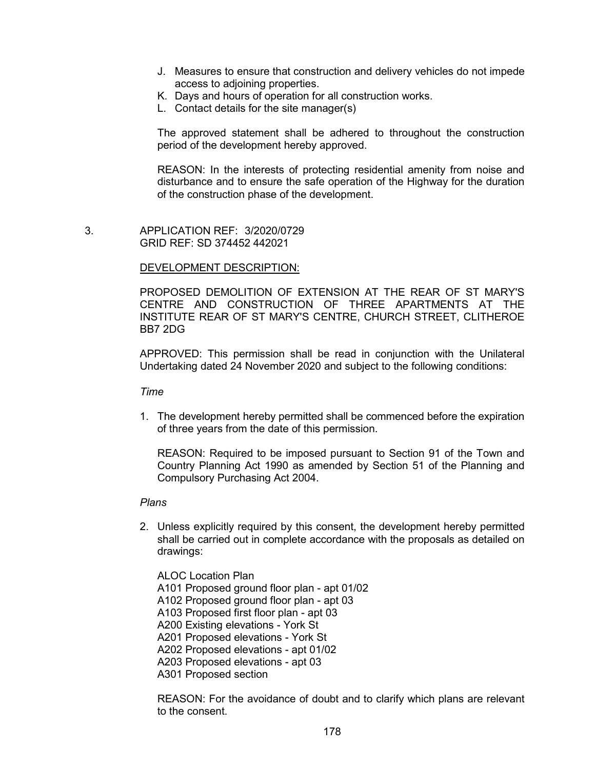- J. Measures to ensure that construction and delivery vehicles do not impede access to adjoining properties.
- K. Days and hours of operation for all construction works.
- L. Contact details for the site manager(s)

The approved statement shall be adhered to throughout the construction period of the development hereby approved.

REASON: In the interests of protecting residential amenity from noise and disturbance and to ensure the safe operation of the Highway for the duration of the construction phase of the development.

 3. APPLICATION REF: 3/2020/0729 GRID REF: SD 374452 442021

## DEVELOPMENT DESCRIPTION:

PROPOSED DEMOLITION OF EXTENSION AT THE REAR OF ST MARY'S CENTRE AND CONSTRUCTION OF THREE APARTMENTS AT THE INSTITUTE REAR OF ST MARY'S CENTRE, CHURCH STREET, CLITHEROE BB7 2DG

APPROVED: This permission shall be read in conjunction with the Unilateral Undertaking dated 24 November 2020 and subject to the following conditions:

*Time*

1. The development hereby permitted shall be commenced before the expiration of three years from the date of this permission.

REASON: Required to be imposed pursuant to Section 91 of the Town and Country Planning Act 1990 as amended by Section 51 of the Planning and Compulsory Purchasing Act 2004.

## *Plans*

2. Unless explicitly required by this consent, the development hereby permitted shall be carried out in complete accordance with the proposals as detailed on drawings:

ALOC Location Plan A101 Proposed ground floor plan - apt 01/02 A102 Proposed ground floor plan - apt 03 A103 Proposed first floor plan - apt 03 A200 Existing elevations - York St A201 Proposed elevations - York St A202 Proposed elevations - apt 01/02 A203 Proposed elevations - apt 03 A301 Proposed section

REASON: For the avoidance of doubt and to clarify which plans are relevant to the consent.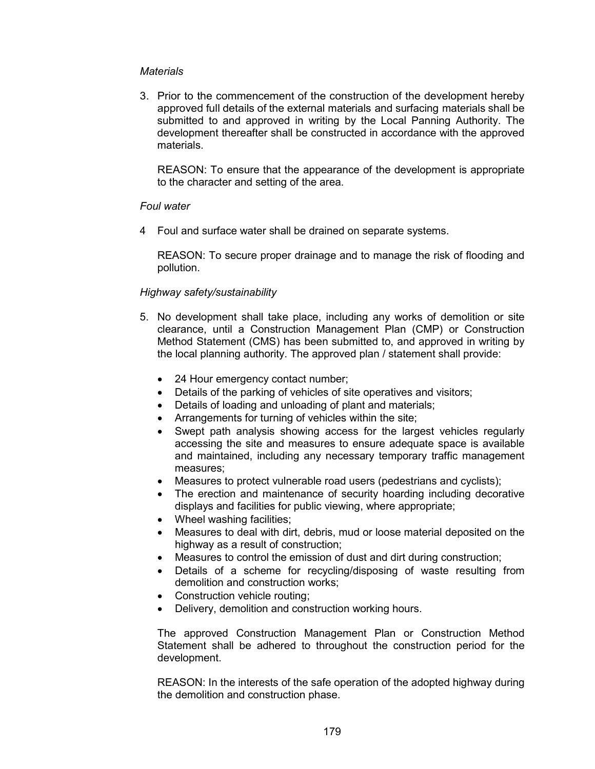## *Materials*

3. Prior to the commencement of the construction of the development hereby approved full details of the external materials and surfacing materials shall be submitted to and approved in writing by the Local Panning Authority. The development thereafter shall be constructed in accordance with the approved materials.

REASON: To ensure that the appearance of the development is appropriate to the character and setting of the area.

## *Foul water*

4 Foul and surface water shall be drained on separate systems.

REASON: To secure proper drainage and to manage the risk of flooding and pollution.

## *Highway safety/sustainability*

- 5. No development shall take place, including any works of demolition or site clearance, until a Construction Management Plan (CMP) or Construction Method Statement (CMS) has been submitted to, and approved in writing by the local planning authority. The approved plan / statement shall provide:
	- 24 Hour emergency contact number;
	- Details of the parking of vehicles of site operatives and visitors;
	- Details of loading and unloading of plant and materials;
	- Arrangements for turning of vehicles within the site;
	- Swept path analysis showing access for the largest vehicles regularly accessing the site and measures to ensure adequate space is available and maintained, including any necessary temporary traffic management measures;
	- Measures to protect vulnerable road users (pedestrians and cyclists);
	- The erection and maintenance of security hoarding including decorative displays and facilities for public viewing, where appropriate;
	- Wheel washing facilities:
	- Measures to deal with dirt, debris, mud or loose material deposited on the highway as a result of construction;
	- Measures to control the emission of dust and dirt during construction;
	- Details of a scheme for recycling/disposing of waste resulting from demolition and construction works;
	- Construction vehicle routing;
	- Delivery, demolition and construction working hours.

The approved Construction Management Plan or Construction Method Statement shall be adhered to throughout the construction period for the development.

REASON: In the interests of the safe operation of the adopted highway during the demolition and construction phase.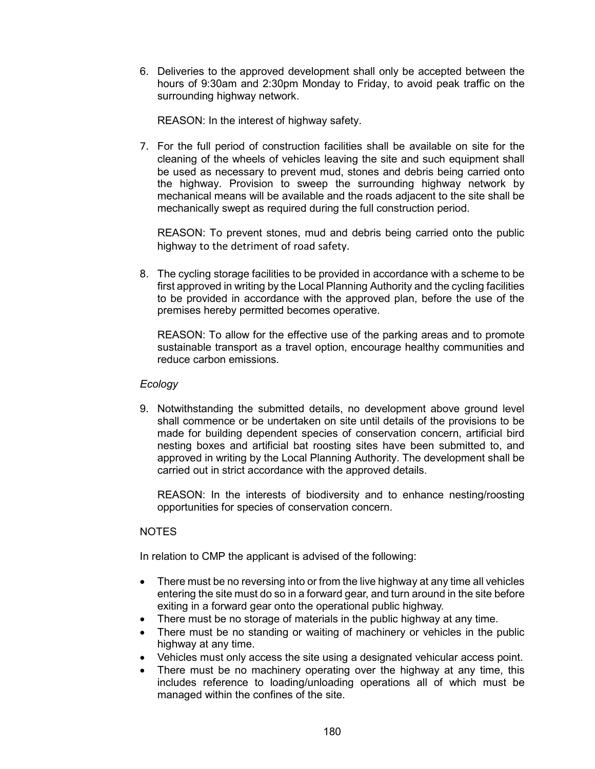6. Deliveries to the approved development shall only be accepted between the hours of 9:30am and 2:30pm Monday to Friday, to avoid peak traffic on the surrounding highway network.

REASON: In the interest of highway safety.

7. For the full period of construction facilities shall be available on site for the cleaning of the wheels of vehicles leaving the site and such equipment shall be used as necessary to prevent mud, stones and debris being carried onto the highway. Provision to sweep the surrounding highway network by mechanical means will be available and the roads adjacent to the site shall be mechanically swept as required during the full construction period.

REASON: To prevent stones, mud and debris being carried onto the public highway to the detriment of road safety.

8. The cycling storage facilities to be provided in accordance with a scheme to be first approved in writing by the Local Planning Authority and the cycling facilities to be provided in accordance with the approved plan, before the use of the premises hereby permitted becomes operative.

REASON: To allow for the effective use of the parking areas and to promote sustainable transport as a travel option, encourage healthy communities and reduce carbon emissions.

## *Ecology*

9. Notwithstanding the submitted details, no development above ground level shall commence or be undertaken on site until details of the provisions to be made for building dependent species of conservation concern, artificial bird nesting boxes and artificial bat roosting sites have been submitted to, and approved in writing by the Local Planning Authority. The development shall be carried out in strict accordance with the approved details.

REASON: In the interests of biodiversity and to enhance nesting/roosting opportunities for species of conservation concern.

# NOTES

In relation to CMP the applicant is advised of the following:

- There must be no reversing into or from the live highway at any time all vehicles entering the site must do so in a forward gear, and turn around in the site before exiting in a forward gear onto the operational public highway.
- There must be no storage of materials in the public highway at any time.
- There must be no standing or waiting of machinery or vehicles in the public highway at any time.
- Vehicles must only access the site using a designated vehicular access point.
- There must be no machinery operating over the highway at any time, this includes reference to loading/unloading operations all of which must be managed within the confines of the site.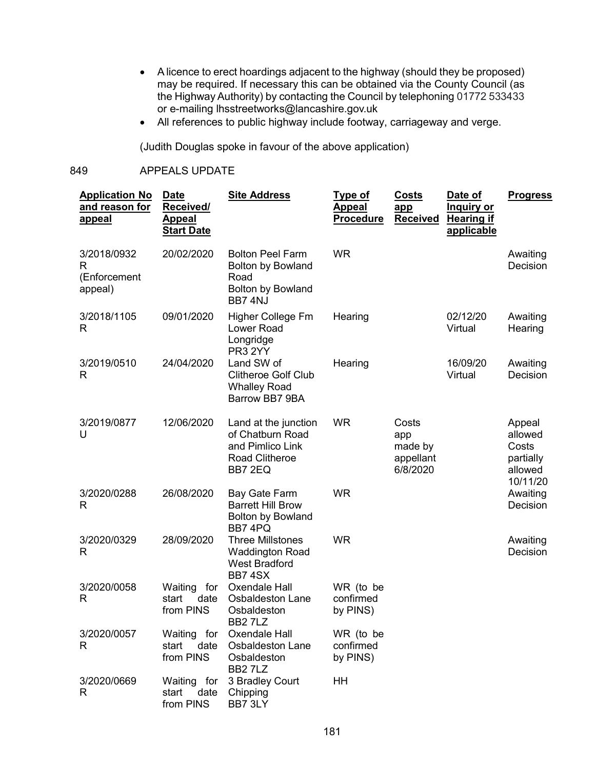- A licence to erect hoardings adjacent to the highway (should they be proposed) may be required. If necessary this can be obtained via the County Council (as the Highway Authority) by contacting the Council by telephoning 01772 533433 or e-mailing lhsstreetworks@lancashire.gov.uk
- All references to public highway include footway, carriageway and verge.

(Judith Douglas spoke in favour of the above application)

## 849 APPEALS UPDATE

| <b>Application No</b><br>and reason for<br><u>appeal</u> | <b>Date</b><br>Received/<br><b>Appeal</b><br><b>Start Date</b> | <b>Site Address</b>                                                                                | <u>Type of</u><br>Appeal<br><b>Procedure</b> | <b>Costs</b><br>app<br><b>Received</b>           | Date of<br><u>Inquiry or</u><br><b>Hearing if</b><br>applicable | <b>Progress</b>                                                                        |
|----------------------------------------------------------|----------------------------------------------------------------|----------------------------------------------------------------------------------------------------|----------------------------------------------|--------------------------------------------------|-----------------------------------------------------------------|----------------------------------------------------------------------------------------|
| 3/2018/0932<br>R<br>(Enforcement<br>appeal)              | 20/02/2020                                                     | <b>Bolton Peel Farm</b><br><b>Bolton by Bowland</b><br>Road<br><b>Bolton by Bowland</b><br>BB7 4NJ | <b>WR</b>                                    |                                                  |                                                                 | Awaiting<br>Decision                                                                   |
| 3/2018/1105<br>R                                         | 09/01/2020                                                     | Higher College Fm<br>Lower Road<br>Longridge<br>PR3 2YY                                            | Hearing                                      |                                                  | 02/12/20<br>Virtual                                             | Awaiting<br>Hearing                                                                    |
| 3/2019/0510<br>R                                         | 24/04/2020                                                     | Land SW of<br><b>Clitheroe Golf Club</b><br><b>Whalley Road</b><br>Barrow BB7 9BA                  | Hearing                                      |                                                  | 16/09/20<br>Virtual                                             | Awaiting<br>Decision                                                                   |
| 3/2019/0877<br>U                                         | 12/06/2020                                                     | Land at the junction<br>of Chatburn Road<br>and Pimlico Link<br>Road Clitheroe<br>BB7 2EQ          | <b>WR</b>                                    | Costs<br>app<br>made by<br>appellant<br>6/8/2020 |                                                                 | Appeal<br>allowed<br>Costs<br>partially<br>allowed<br>10/11/20<br>Awaiting<br>Decision |
| 3/2020/0288<br>R                                         | 26/08/2020                                                     | Bay Gate Farm<br><b>Barrett Hill Brow</b><br><b>Bolton by Bowland</b><br>BB7 4PQ                   | <b>WR</b>                                    |                                                  |                                                                 |                                                                                        |
| 3/2020/0329<br>R                                         | 28/09/2020                                                     | <b>Three Millstones</b><br><b>Waddington Road</b><br><b>West Bradford</b><br>BB74SX                | <b>WR</b>                                    |                                                  |                                                                 | Awaiting<br>Decision                                                                   |
| 3/2020/0058<br>R                                         | for<br>Waiting<br>start<br>date<br>from PINS                   | Oxendale Hall<br><b>Osbaldeston Lane</b><br>Osbaldeston<br>BB27LZ                                  | WR (to be<br>confirmed<br>by PINS)           |                                                  |                                                                 |                                                                                        |
| 3/2020/0057<br>R                                         | Waiting for<br>date<br>start<br>from PINS                      | Oxendale Hall<br><b>Osbaldeston Lane</b><br>Osbaldeston<br><b>BB27LZ</b>                           | WR (to be<br>confirmed<br>by PINS)           |                                                  |                                                                 |                                                                                        |
| 3/2020/0669<br>R                                         | Waiting for<br>date<br>start<br>from PINS                      | 3 Bradley Court<br>Chipping<br>BB7 3LY                                                             | HH                                           |                                                  |                                                                 |                                                                                        |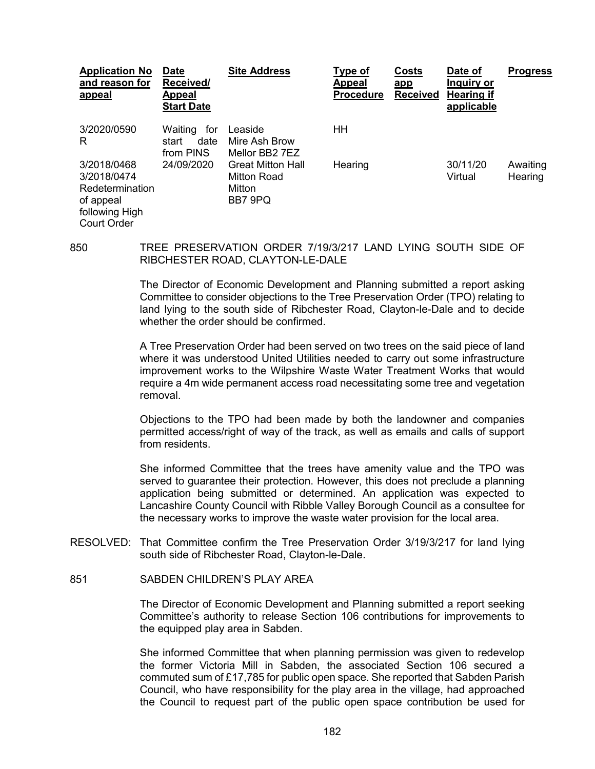| <b>Application No</b><br>and reason for<br>appeal                                                  | <b>Date</b><br>Received/<br>Appeal<br><b>Start Date</b> | <b>Site Address</b>                                          | Type of<br>Appeal<br><b>Procedure</b> | Costs<br>app<br><b>Received</b> | Date of<br>Inguiry or<br><b>Hearing if</b><br>applicable | <b>Progress</b>     |
|----------------------------------------------------------------------------------------------------|---------------------------------------------------------|--------------------------------------------------------------|---------------------------------------|---------------------------------|----------------------------------------------------------|---------------------|
| 3/2020/0590<br>R                                                                                   | for<br>Waiting<br>date<br>start<br>from PINS            | Leaside<br>Mire Ash Brow<br>Mellor BB2 7EZ                   | HН                                    |                                 |                                                          |                     |
| 3/2018/0468<br>3/2018/0474<br>Redetermination<br>of appeal<br>following High<br><b>Court Order</b> | 24/09/2020                                              | <b>Great Mitton Hall</b><br>Mitton Road<br>Mitton<br>BB7 9PQ | Hearing                               |                                 | 30/11/20<br>Virtual                                      | Awaiting<br>Hearing |

850 TREE PRESERVATION ORDER 7/19/3/217 LAND LYING SOUTH SIDE OF RIBCHESTER ROAD, CLAYTON-LE-DALE

> The Director of Economic Development and Planning submitted a report asking Committee to consider objections to the Tree Preservation Order (TPO) relating to land lying to the south side of Ribchester Road, Clayton-le-Dale and to decide whether the order should be confirmed.

> A Tree Preservation Order had been served on two trees on the said piece of land where it was understood United Utilities needed to carry out some infrastructure improvement works to the Wilpshire Waste Water Treatment Works that would require a 4m wide permanent access road necessitating some tree and vegetation removal.

> Objections to the TPO had been made by both the landowner and companies permitted access/right of way of the track, as well as emails and calls of support from residents.

> She informed Committee that the trees have amenity value and the TPO was served to guarantee their protection. However, this does not preclude a planning application being submitted or determined. An application was expected to Lancashire County Council with Ribble Valley Borough Council as a consultee for the necessary works to improve the waste water provision for the local area.

- RESOLVED: That Committee confirm the Tree Preservation Order 3/19/3/217 for land lying south side of Ribchester Road, Clayton-le-Dale.
- 851 SABDEN CHILDREN'S PLAY AREA

The Director of Economic Development and Planning submitted a report seeking Committee's authority to release Section 106 contributions for improvements to the equipped play area in Sabden.

She informed Committee that when planning permission was given to redevelop the former Victoria Mill in Sabden, the associated Section 106 secured a commuted sum of £17,785 for public open space. She reported that Sabden Parish Council, who have responsibility for the play area in the village, had approached the Council to request part of the public open space contribution be used for